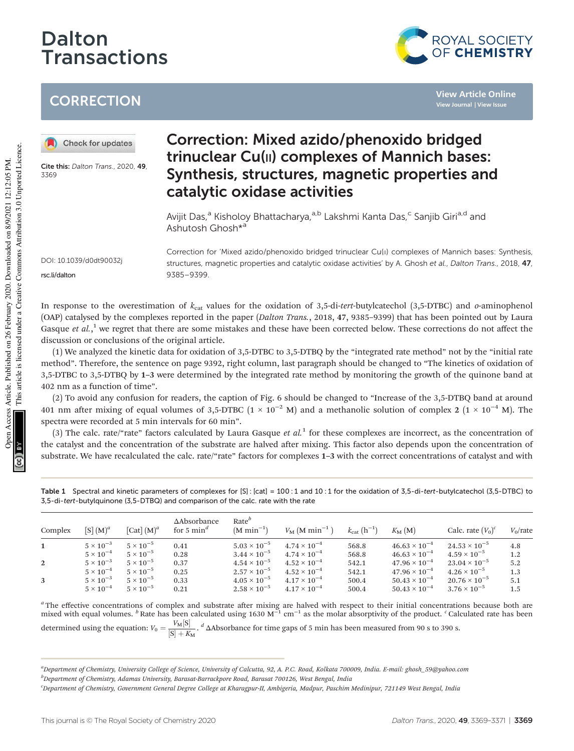# Dalton Transactions



**View Article Online View Journal | View Issue**

## **CORRECTION**

Check for updates

Cite this: Dalton Trans., 2020, 49 3369

### Correction: Mixed azido/phenoxido bridged trinuclear Cu(II) complexes of Mannich bases: Synthesis, structures, magnetic properties and catalytic oxidase activities

Avijit Das,<sup>a</sup> Kisholoy Bhattacharya,<sup>a,b</sup> Lakshmi Kanta Das,<sup>c</sup> Sanjib Giri<sup>a,d</sup> and Ashutosh Ghosh\*<sup>a</sup>

DOI: 10.1039/d0dt90032j rsc.li/dalton

Correction for 'Mixed azido/phenoxido bridged trinuclear Cu(II) complexes of Mannich bases: Synthesis, structures, magnetic properties and catalytic oxidase activities' by A. Ghosh et al., Dalton Trans., 2018, 47, 9385–9399.

In response to the overestimation of  $k_{\text{cat}}$  values for the oxidation of 3,5-di-*tert*-butylcatechol (3,5-DTBC) and *o*-aminophenol (OAP) catalysed by the complexes reported in the paper (*Dalton Trans.*, 2018, 47, 9385–9399) that has been pointed out by Laura Gasque et al.,<sup>1</sup> we regret that there are some mistakes and these have been corrected below. These corrections do not affect the discussion or conclusions of the original article.

(1) We analyzed the kinetic data for oxidation of 3,5-DTBC to 3,5-DTBQ by the "integrated rate method" not by the "initial rate method". Therefore, the sentence on page 9392, right column, last paragraph should be changed to "The kinetics of oxidation of 3,5-DTBC to 3,5-DTBQ by 1–3 were determined by the integrated rate method by monitoring the growth of the quinone band at 402 nm as a function of time".

(2) To avoid any confusion for readers, the caption of Fig. 6 should be changed to "Increase of the 3,5-DTBQ band at around 401 nm after mixing of equal volumes of 3,5-DTBC ( $1 \times 10^{-2}$  M) and a methanolic solution of complex 2 ( $1 \times 10^{-4}$  M). The spectra were recorded at 5 min intervals for 60 min".

(3) The calc. rate/"rate" factors calculated by Laura Gasque *et al.*<sup>1</sup> for these complexes are incorrect, as the concentration of the catalyst and the concentration of the substrate are halved after mixing. This factor also depends upon the concentration of substrate. We have recalculated the calc. rate/"rate" factors for complexes 1–3 with the correct concentrations of catalyst and with

Table 1 Spectral and kinetic parameters of complexes for [S] : [cat] = 100 : 1 and 10 : 1 for the oxidation of 3,5-di-tert-butylcatechol (3,5-DTBC) to 3,5-di-tert-butylquinone (3,5-DTBQ) and comparison of the calc. rate with the rate

| Complex      | $[S](M)^a$         | [Cat] $(M)^a$      | $\Delta$ Absorbance<br>for 5 $mind$ | Rate <sup>b</sup><br>$(M \text{ min}^{-1})$ | $V_{\rm M}$ (M min <sup>-1</sup> ) | $k_{\text{cat}}\,(\text{h}^{-1})$ | $K_{\mathbf{M}}(\mathbf{M})$ | Calc. rate $(V_0)^c$   | $V_0$ /rate |
|--------------|--------------------|--------------------|-------------------------------------|---------------------------------------------|------------------------------------|-----------------------------------|------------------------------|------------------------|-------------|
|              | $5 \times 10^{-3}$ | $5 \times 10^{-5}$ | 0.41                                | $5.03 \times 10^{-5}$                       | $4.74 \times 10^{-4}$              | 568.8                             | $46.63 \times 10^{-4}$       | $24.53 \times 10^{-5}$ | 4.8         |
|              | $5 \times 10^{-4}$ | $5 \times 10^{-5}$ | 0.28                                | $3.44 \times 10^{-5}$                       | $4.74 \times 10^{-4}$              | 568.8                             | $46.63 \times 10^{-4}$       | $4.59 \times 10^{-5}$  | 1.2         |
| $\mathbf{2}$ | $5 \times 10^{-3}$ | $5 \times 10^{-5}$ | 0.37                                | $4.54 \times 10^{-5}$                       | $4.52 \times 10^{-4}$              | 542.1                             | $47.96 \times 10^{-4}$       | $23.04 \times 10^{-5}$ | 5.2         |
|              | $5 \times 10^{-4}$ | $5 \times 10^{-5}$ | 0.25                                | $2.57 \times 10^{-5}$                       | $4.52 \times 10^{-4}$              | 542.1                             | $47.96 \times 10^{-4}$       | $4.26 \times 10^{-5}$  | 1.3         |
|              | $5 \times 10^{-3}$ | $5 \times 10^{-5}$ | 0.33                                | $4.05 \times 10^{-5}$                       | $4.17 \times 10^{-4}$              | 500.4                             | $50.43 \times 10^{-4}$       | $20.76 \times 10^{-5}$ | 5.1         |
|              | $5 \times 10^{-4}$ | $5 \times 10^{-5}$ | 0.21                                | $2.58 \times 10^{-5}$                       | $4.17 \times 10^{-4}$              | 500.4                             | $50.43 \times 10^{-4}$       | $3.76 \times 10^{-5}$  | 1.5         |

<sup>a</sup> The effective concentrations of complex and substrate after mixing are halved with respect to their initial concentrations because both are mixed with equal volumes. <sup>b</sup> Rate has been calculated using 1630  $M^{-1}$  cm<sup>-</sup> determined using the equation:  $V_0 = \frac{V_M[\text{S}]}{[\text{S}] + K_M}$ . <sup>*d*</sup>  $\Delta$ Absorbance for time gaps of 5 min has been measured from 90 s to 390 s.

*<sup>a</sup>Department of Chemistry, University College of Science, University of Calcutta, 92, A. P.C. Road, Kolkata 700009, India. E-mail: ghosh\_59@yahoo.com <sup>b</sup>Department of Chemistry, Adamas University, Barasat-Barrackpore Road, Barasat 700126, West Bengal, India*

*<sup>c</sup>Department of Chemistry, Government General Degree College at Kharagpur-II, Ambigeria, Madpur, Paschim Medinipur, 721149 West Bengal, India*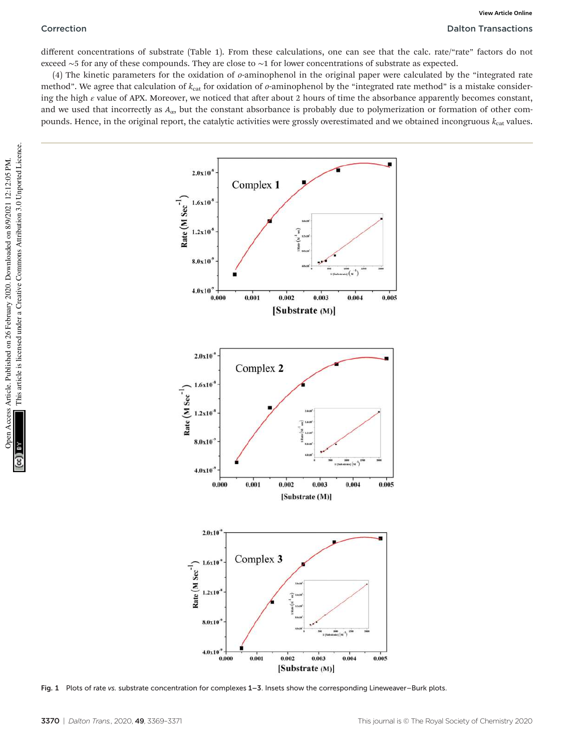different concentrations of substrate (Table 1). From these calculations, one can see that the calc. rate/"rate" factors do not exceed ∼5 for any of these compounds. They are close to ∼1 for lower concentrations of substrate as expected.

(4) The kinetic parameters for the oxidation of *o*-aminophenol in the original paper were calculated by the "integrated rate method". We agree that calculation of  $k_{cat}$  for oxidation of *o*-aminophenol by the "integrated rate method" is a mistake considering the high  $\varepsilon$  value of APX. Moreover, we noticed that after about 2 hours of time the absorbance apparently becomes constant, and we used that incorrectly as *A*α, but the constant absorbance is probably due to polymerization or formation of other compounds. Hence, in the original report, the catalytic activities were grossly overestimated and we obtained incongruous  $k_{\text{cat}}$  values.



Fig. 1 Plots of rate vs. substrate concentration for complexes 1–3. Insets show the corresponding Lineweaver–Burk plots.